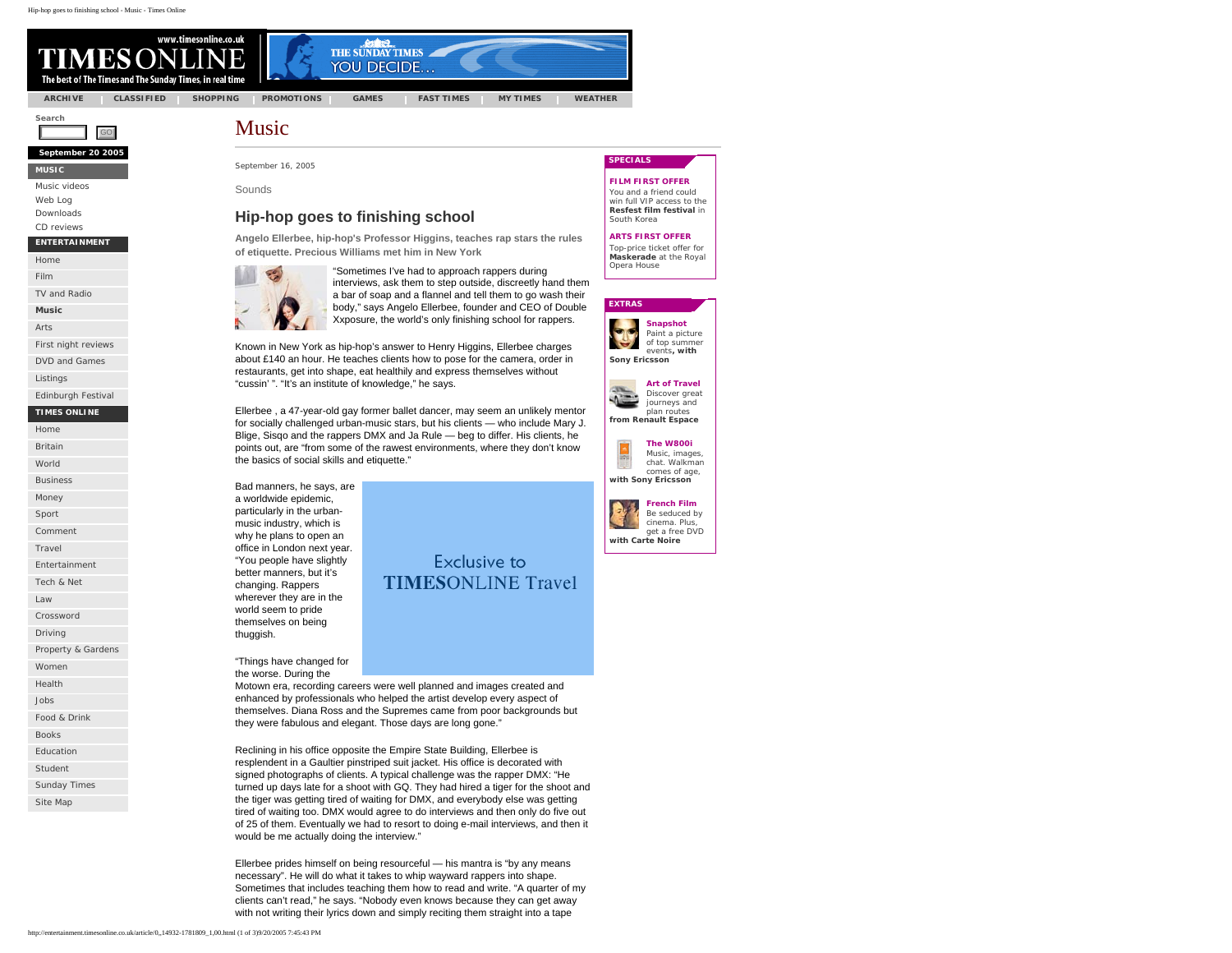GO

www.timesonline.co.uk ES ( The best of The Times and The Sunday Times, in real time

**[ARCHIVE](http://www.newsint-archive.co.uk/) [CLASSIFIED](http://www.timesonline.co.uk/section/0,,197,00.html) [SHOPPING](http://shopping.timesonline.co.uk/section/0,,12409,00.html) [PROMOTIONS](http://www.timesonline.co.uk/section/0,,521,00.html) [GAMES](http://www.timesonline.co.uk/section/0,,202,00.html) [FAST TIMES](http://www.timesonline.co.uk/section/0,,594,00.html) [MY TIMES](http://www.timesonline.co.uk/section/0,,5544,00.html) [WEATHER](http://info.newsgroupdigital.com/cgi-bin/links.pl?l=2003120101)**

**THE SUNDAY TIMES** 

YOU DECIDE...

**Search**

**September 20 2005** 

**[MUSIC](http://entertainment.timesonline.co.uk/section/0,,14932,00.html)**

[Music videos](http://entertainment.timesonline.co.uk/section/0,,18729,00.html)

[Web Log](http://entertainment.timesonline.co.uk/section/0,,22269,00.html)

[Downloads](http://entertainment.timesonline.co.uk/section/0,,22878,00.html)

[CD reviews](http://entertainment.timesonline.co.uk/section/0,,22409,00.html)

#### **ENTERTAINMENT**

[Home](http://entertainment.timesonline.co.uk/section/0,,14929,00.html)

[Film](http://entertainment.timesonline.co.uk/section/0,,14931,00.html)

[TV and Radio](http://entertainment.timesonline.co.uk/section/0,,14934,00.html)

**[Music](http://entertainment.timesonline.co.uk/section/0,,14932,00.html)**

[Arts](http://entertainment.timesonline.co.uk/section/0,,14933,00.html)

[First night reviews](http://entertainment.timesonline.co.uk/section/0,,14936,00.html)

[DVD and Games](http://entertainment.timesonline.co.uk/section/0,,18589,00.html)

[Listings](http://entertainment.timesonline.co.uk/section/0,,22709,00.html)

[Edinburgh Festival](http://entertainment.timesonline.co.uk/section/0,,23229,00.html)

#### **TIMES ONLINE**

[Home](http://www.timesonline.co.uk/section/0,,1,00.html)

[Britain](http://www.timesonline.co.uk/section/0,,2,00.html)

[World](http://www.timesonline.co.uk/section/0,,3,00.html) [Business](http://business.timesonline.co.uk/section/0,,8209,00.html)

[Money](http://business.timesonline.co.uk/section/0,,8214,00.html) 

[Sport](http://www.timesonline.co.uk/section/0,,4,00.html)

**[Comment](http://www.timesonline.co.uk/section/0,,6,00.html)** 

[Travel](http://travel.timesonline.co.uk/section/0,,10209,00.html)

[Entertainment](http://entertainment.timesonline.co.uk/section/0,,14929,00.html) [Tech & Net](http://technology.timesonline.co.uk/section/0,,19509,00.html) 

[Law](http://www.timesonline.co.uk/section/0,,200,00.html)

[Crossword](http://www.timesonline.co.uk/section/0,,252,00.html)

[Driving](http://driving.timesonline.co.uk/section/0,,12389,00.html)

[Property & Gardens](http://property.timesonline.co.uk/section/0,,14029,00.html)

[Women](http://women.timesonline.co.uk/section/0,,17909,00.html)

[Health](http://www.timesonline.co.uk/section/0,,589,00.html)

[Jobs](http://www.timesonline.co.uk/section/0,,8159,00.html)

[Food & Drink](http://www.timesonline.co.uk/section/0,,632,00.html)

[Books](http://www.timesonline.co.uk/section/0,,923,00.html)

[Education](http://www.timesonline.co.uk/section/0,,591,00.html)

[Student](http://www.timesonline.co.uk/section/0,,3223,00.html)

[Sunday Times](http://www.timesonline.co.uk/section/0,,2086,00.html)

[Site Map](http://www.timesonline.co.uk/section/0,,9122,00.html)

Music

September 16, 2005

Sounds

## **Hip-hop goes to finishing school**

**Angelo Ellerbee, hip-hop's Professor Higgins, teaches rap stars the rules of etiquette. Precious Williams met him in New York**



"Sometimes I've had to approach rappers during interviews, ask them to step outside, discreetly hand them a bar of soap and a flannel and tell them to go wash their body," says Angelo Ellerbee, founder and CEO of Double Xxposure, the world's only finishing school for rappers.

Known in New York as hip-hop's answer to Henry Higgins, Ellerbee charges about £140 an hour. He teaches clients how to pose for the camera, order in restaurants, get into shape, eat healthily and express themselves without "cussin' ". "It's an institute of knowledge," he says.

Ellerbee , a 47-year-old gay former ballet dancer, may seem an unlikely mentor for socially challenged urban-music stars, but his clients — who include Mary J. Blige, Sisqo and the rappers DMX and Ja Rule — beg to differ. His clients, he points out, are "from some of the rawest environments, where they don't know the basics of social skills and etiquette."

Bad manners, he says, are a worldwide epidemic, particularly in the urbanmusic industry, which is why he plans to open an office in London next year. "You people have slightly better manners, but it's changing. Rappers wherever they are in the world seem to pride themselves on being thuggish.

"Things have changed for the worse. During the

## **Exclusive to TIMESONLINE Travel**

Motown era, recording careers were well planned and images created and enhanced by professionals who helped the artist develop every aspect of themselves. Diana Ross and the Supremes came from poor backgrounds but they were fabulous and elegant. Those days are long gone."

Reclining in his office opposite the Empire State Building, Ellerbee is resplendent in a Gaultier pinstriped suit jacket. His office is decorated with signed photographs of clients. A typical challenge was the rapper DMX: "He turned up days late for a shoot with GQ. They had hired a tiger for the shoot and the tiger was getting tired of waiting for DMX, and everybody else was getting tired of waiting too. DMX would agree to do interviews and then only do five out of 25 of them. Eventually we had to resort to doing e-mail interviews, and then it would be me actually doing the interview."

Ellerbee prides himself on being resourceful — his mantra is "by any means necessary". He will do what it takes to whip wayward rappers into shape. Sometimes that includes teaching them how to read and write. "A quarter of my clients can't read," he says. "Nobody even knows because they can get away with not writing their lyrics down and simply reciting them straight into a tape

#### **SPECIALS**

#### **[FILM FIRST OFFER](http://ad.doubleclick.net/clk;8176668;6887163;g?http://entertainment.timesonline.co.uk/section/0,,17970,00.html)**

You and a friend could win full VIP access to the **Resfest film festival** in South Korea

#### **[ARTS FIRST OFFER](http://entertainment.timesonline.co.uk/section/0,,17971,00.html)**

Top-price ticket offer for **Maskerade** at the Royal Opera House

#### **EXTRAS**



Paint a picture of top summer events**, with** 



plan routes **from Renault Espace**



Music, images, chat. Walkman comes of age, **with Sony Ericsson**



Be seduced by cinema. Plus, get a free DVD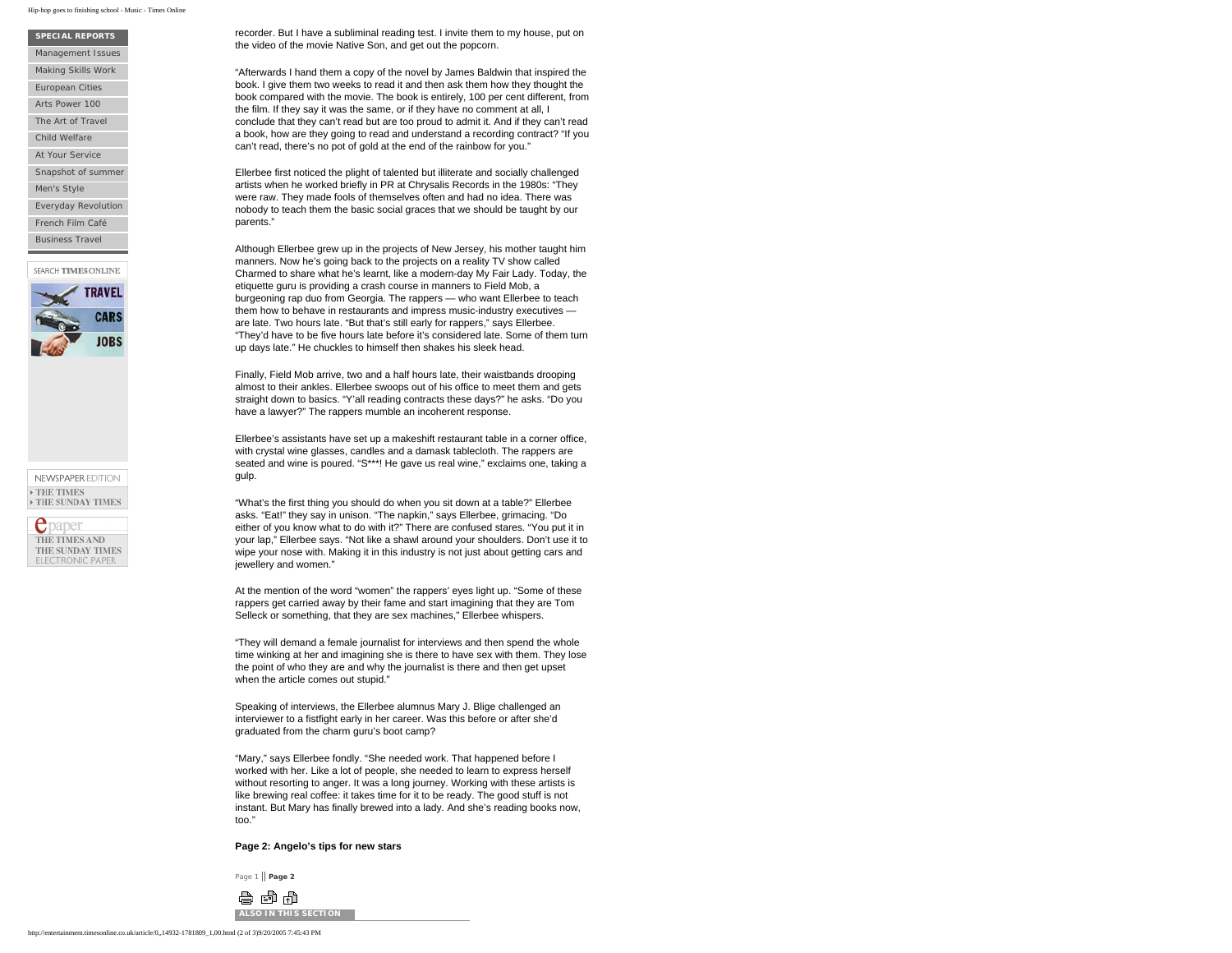#### Hip-hop goes to finishing school - Music - Times Online

#### **SPECIAL REPORTS**

[Management Issues](http://business.timesonline.co.uk/section/0,,24149,00.html)

[Making Skills Work](http://business.timesonline.co.uk/section/0,,24009,00.html)

[European Cities](http://travel.timesonline.co.uk/section/0,,23809,00.html)

[Arts Power 100](http://entertainment.timesonline.co.uk/section/0,,23869,00.html)

[The Art of Travel](http://driving.timesonline.co.uk/section/0,,19889,00.html) 

[Child Welfare](http://www.timesonline.co.uk/section/0,,19050,00.html)

[At Your Service](http://business.timesonline.co.uk/section/0,,23449,00.html)

[Snapshot of summer](http://technology.timesonline.co.uk/section/0,,23370,00.html)

[Men's Style](http://www.timesonline.co.uk/section/0,,20029,00.html)

[Everyday Revolution](http://technology.timesonline.co.uk/section/0,,22469,00.html)

[French Film Café](http://entertainment.timesonline.co.uk/section/0,,20572,00.html)

[Business Travel](http://travel.timesonline.co.uk/section/0,,11250,00.html)

SEARCH TIMES ONLINE



NEWSPAPER EDITION **> THE TIMES**  $\rightarrow$  THE SUNDAY TIMES



recorder. But I have a subliminal reading test. I invite them to my house, put on the video of the movie Native Son, and get out the popcorn.

"Afterwards I hand them a copy of the novel by James Baldwin that inspired the book. I give them two weeks to read it and then ask them how they thought the book compared with the movie. The book is entirely, 100 per cent different, from the film. If they say it was the same, or if they have no comment at all, I conclude that they can't read but are too proud to admit it. And if they can't read a book, how are they going to read and understand a recording contract? "If you can't read, there's no pot of gold at the end of the rainbow for you."

Ellerbee first noticed the plight of talented but illiterate and socially challenged artists when he worked briefly in PR at Chrysalis Records in the 1980s: "They were raw. They made fools of themselves often and had no idea. There was nobody to teach them the basic social graces that we should be taught by our parents."

Although Ellerbee grew up in the projects of New Jersey, his mother taught him manners. Now he's going back to the projects on a reality TV show called Charmed to share what he's learnt, like a modern-day My Fair Lady. Today, the etiquette guru is providing a crash course in manners to Field Mob, a burgeoning rap duo from Georgia. The rappers — who want Ellerbee to teach them how to behave in restaurants and impress music-industry executives are late. Two hours late. "But that's still early for rappers," says Ellerbee. "They'd have to be five hours late before it's considered late. Some of them turn up days late." He chuckles to himself then shakes his sleek head.

Finally, Field Mob arrive, two and a half hours late, their waistbands drooping almost to their ankles. Ellerbee swoops out of his office to meet them and gets straight down to basics. "Y'all reading contracts these days?" he asks. "Do you have a lawyer?" The rappers mumble an incoherent response.

Ellerbee's assistants have set up a makeshift restaurant table in a corner office, with crystal wine glasses, candles and a damask tablecloth. The rappers are seated and wine is poured. "S\*\*\*! He gave us real wine," exclaims one, taking a gulp.

"What's the first thing you should do when you sit down at a table?" Ellerbee asks. "Eat!" they say in unison. "The napkin," says Ellerbee, grimacing. "Do either of you know what to do with it?" There are confused stares. "You put it in your lap," Ellerbee says. "Not like a shawl around your shoulders. Don't use it to wipe your nose with. Making it in this industry is not just about getting cars and jewellery and women."

At the mention of the word "women" the rappers' eyes light up. "Some of these rappers get carried away by their fame and start imagining that they are Tom Selleck or something, that they are sex machines," Ellerbee whispers.

"They will demand a female journalist for interviews and then spend the whole time winking at her and imagining she is there to have sex with them. They lose the point of who they are and why the journalist is there and then get upset when the article comes out stupid."

Speaking of interviews, the Ellerbee alumnus Mary J. Blige challenged an interviewer to a fistfight early in her career. Was this before or after she'd graduated from the charm guru's boot camp?

"Mary," says Ellerbee fondly. "She needed work. That happened before I worked with her. Like a lot of people, she needed to learn to express herself without resorting to anger. It was a long journey. Working with these artists is like brewing real coffee: it takes time for it to be ready. The good stuff is not instant. But Mary has finally brewed into a lady. And she's reading books now, too."

**Page 2: Angelo's tips for new stars** 

Page 1 || **[Page 2](#page-2-0)**